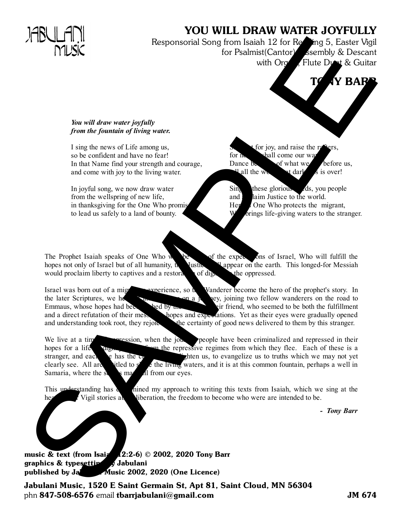## YOU WILL DRAW WATER JOYFULLY

Responsorial Song from Isaiah 12 for  $R$  ling 5, Easter Vigil for Psalmist(Cantor), Assembly & Descant with Organ, Flute Doet & Guitar

## *You will draw water joyfully from the fountain of living water.*

I sing the news of Life among us, so be confident and have no fear! In that Name find your strength and courage, and come with joy to the living water.

In joyful song, we now draw water from the wellspring of new life, in thanksgiving for the One Who prom to lead us safely to a land of bounty.

for joy, and raise the  $r_{\rm s}$ for no eviall come our way. Dance  $\delta$  of what we before us, all the world arkness is over!

**VY BARR** 

 $\sin$  these glorious ds, you people and claim Justice to the world. H<sub>ere</sub> is One Who protects the migrant, brings life-giving waters to the stranger.

The Prophet Isaiah speaks of One Who will be be been as of Israel, Who will fulfill the hopes not only of Israel but of all humanity,  $\mu$  Justice with appear on the earth. This longed-for Messiah would proclaim liberty to captives and a restoration of dignosing the oppressed.

Israel was born out of a migratory experience, so the Wanderer become the hero of the prophet's story. In the later Scriptures, we hear of the Stranger on a journey, joining two fellow wanderers on the road to Emmaus, whose hopes had been head by the stranger of the Stranger on a journey. Emmaus, whose hopes had been death of the death of the death of the fulfillment and a direct refutation of their messianic hopes and expectations. Yet as their eyes were gradually opened and understanding took root, they rejoice the certainty of good news delivered to them by this stranger.

We live at a time oppression, when the journey people have been criminalized and repressed in their hopes for a life  $\mathcal{F}_{\text{coup}}$  from the repressive regimes from which they flee. Each of these is a stranger, and each one has the charism to evangelize us to truths which we may not yet clearly see. All are entitled to share the living waters, and it is at this common fountain, perhaps a well in Samaria, where the scales may fall from our eyes. The same of the same of the same of the same of the same of the same of the same of the same of the same of the same of the same of the same of the same of the same of the same of the same of the same of the same of the s

This understanding has determined my approach to writing this texts from Isaiah, which we sing at the Vigil stories about liberation, the freedom to become who were are intended to be.

*- Tony Barr*

music & text (from Isaiz  $(2:2-6)$  © 2002, 2020 Tony Barr graphics  $\&$  type still developed Jabulani published by  $J_{\alpha}$  Music 2002, 2020 (One Licence)

Jabulani Music, 1520 E Saint Germain St, Apt 81, Saint Cloud, MN 56304 phn 847-508-6576 email tbarrjabulani@gmail.com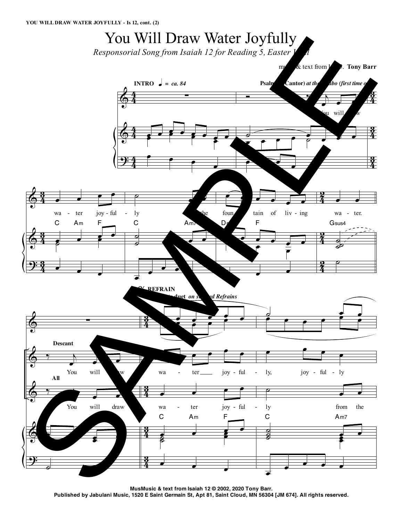## You Will Draw Water Joyfully

*Responsorial Song from Isaiah 12 for Reading 5, Easter dl* 



**MusMusic & text from Isaiah 12 © 2002, 2020 Tony Barr.** Published by Jabulani Music, 1520 E Saint Germain St, Apt 81, Saint Cloud, MN 56304 [JM 674]. All rights reserved.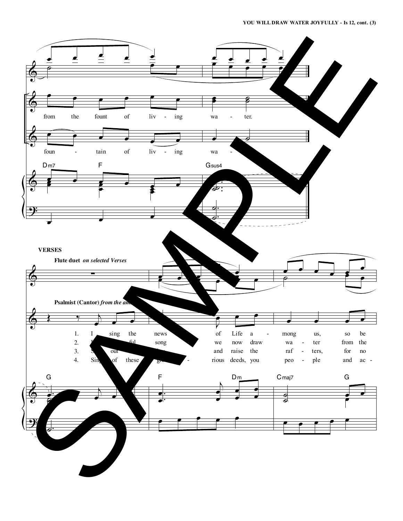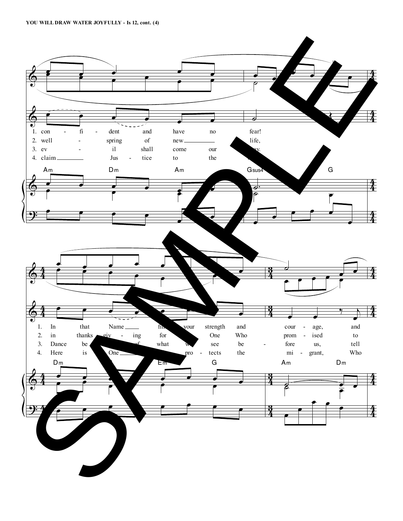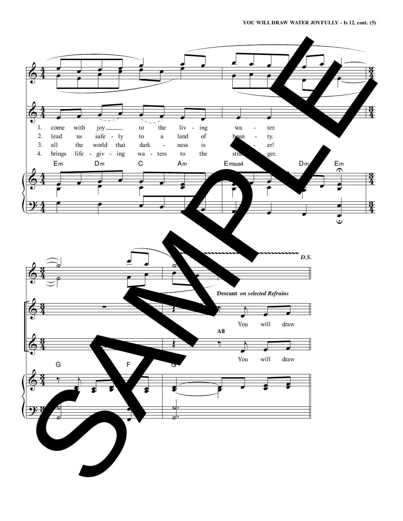